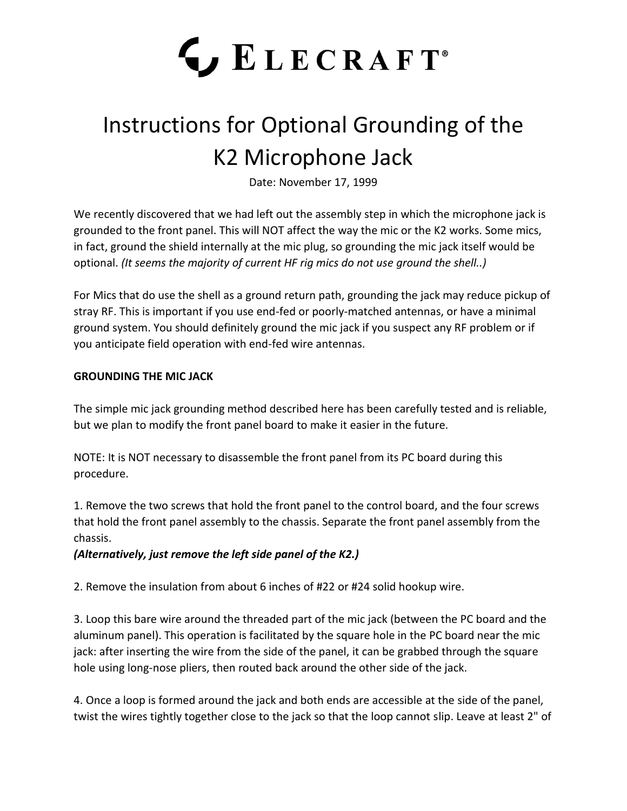## LECRAFT<sup>®</sup>

## Instructions for Optional Grounding of the K2 Microphone Jack

Date: November 17, 1999

We recently discovered that we had left out the assembly step in which the microphone jack is grounded to the front panel. This will NOT affect the way the mic or the K2 works. Some mics, in fact, ground the shield internally at the mic plug, so grounding the mic jack itself would be optional. *(It seems the majority of current HF rig mics do not use ground the shell..)*

For Mics that do use the shell as a ground return path, grounding the jack may reduce pickup of stray RF. This is important if you use end-fed or poorly-matched antennas, or have a minimal ground system. You should definitely ground the mic jack if you suspect any RF problem or if you anticipate field operation with end-fed wire antennas.

## **GROUNDING THE MIC JACK**

The simple mic jack grounding method described here has been carefully tested and is reliable, but we plan to modify the front panel board to make it easier in the future.

NOTE: It is NOT necessary to disassemble the front panel from its PC board during this procedure.

1. Remove the two screws that hold the front panel to the control board, and the four screws that hold the front panel assembly to the chassis. Separate the front panel assembly from the chassis.

*(Alternatively, just remove the left side panel of the K2.)*

2. Remove the insulation from about 6 inches of #22 or #24 solid hookup wire.

3. Loop this bare wire around the threaded part of the mic jack (between the PC board and the aluminum panel). This operation is facilitated by the square hole in the PC board near the mic jack: after inserting the wire from the side of the panel, it can be grabbed through the square hole using long-nose pliers, then routed back around the other side of the jack.

4. Once a loop is formed around the jack and both ends are accessible at the side of the panel, twist the wires tightly together close to the jack so that the loop cannot slip. Leave at least 2" of